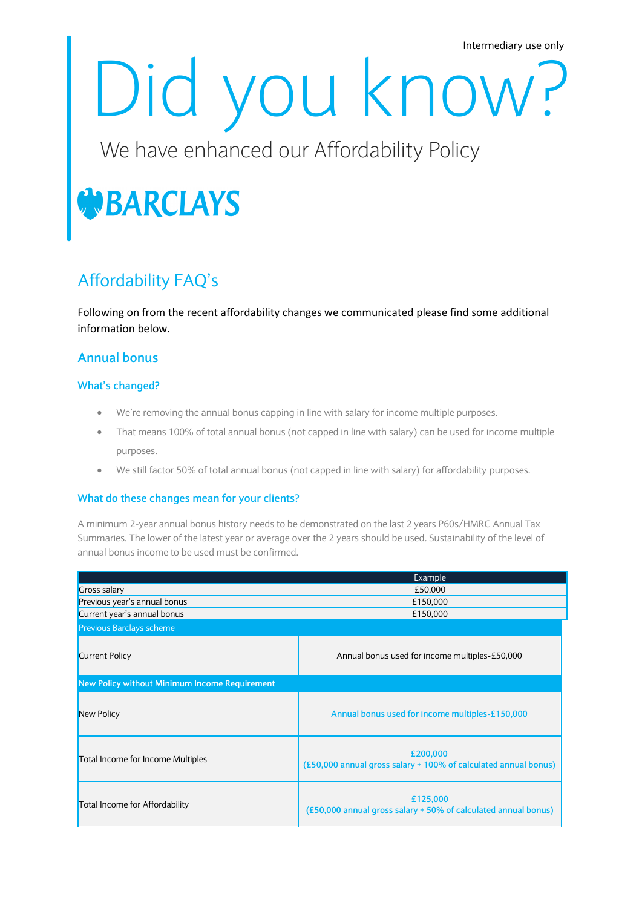Intermediary use only

# Did you know?

We have enhanced our Affordability Policy

## **BARCLAYS**

### Affordability FAQ's

Following on from the recent affordability changes we communicated please find some additional information below.

#### **Annual bonus**

#### **What's changed?**

- We're removing the annual bonus capping in line with salary for income multiple purposes.
- That means 100% of total annual bonus (not capped in line with salary) can be used for income multiple purposes.
- We still factor 50% of total annual bonus (not capped in line with salary) for affordability purposes.

#### **What do these changes mean for your clients?**

A minimum 2-year annual bonus history needs to be demonstrated on the last 2 years P60s/HMRC Annual Tax Summaries. The lower of the latest year or average over the 2 years should be used. Sustainability of the level of annual bonus income to be used must be confirmed.

|                                               | Example                                                                     |  |  |
|-----------------------------------------------|-----------------------------------------------------------------------------|--|--|
| <b>Gross salary</b>                           | £50,000                                                                     |  |  |
| Previous year's annual bonus                  | £150,000                                                                    |  |  |
| Current year's annual bonus                   | £150,000                                                                    |  |  |
| <b>Previous Barclays scheme</b>               |                                                                             |  |  |
| <b>Current Policy</b>                         | Annual bonus used for income multiples-£50,000                              |  |  |
| New Policy without Minimum Income Requirement |                                                                             |  |  |
| New Policy                                    | Annual bonus used for income multiples-£150,000                             |  |  |
| Total Income for Income Multiples             | £200,000<br>(£50,000 annual gross salary + 100% of calculated annual bonus) |  |  |
| Total Income for Affordability                | £125,000<br>(£50,000 annual gross salary + 50% of calculated annual bonus)  |  |  |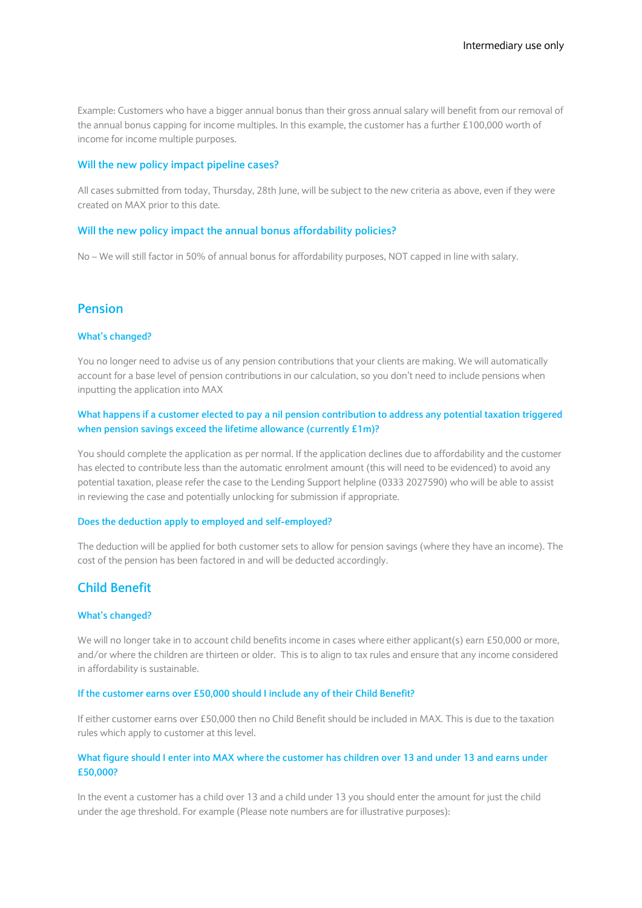Example: Customers who have a bigger annual bonus than their gross annual salary will benefit from our removal of the annual bonus capping for income multiples. In this example, the customer has a further £100,000 worth of income for income multiple purposes.

#### **Will the new policy impact pipeline cases?**

All cases submitted from today, Thursday, 28th June, will be subject to the new criteria as above, even if they were created on MAX prior to this date.

#### **Will the new policy impact the annual bonus affordability policies?**

No – We will still factor in 50% of annual bonus for affordability purposes, NOT capped in line with salary.

#### **Pension**

#### **What's changed?**

You no longer need to advise us of any pension contributions that your clients are making. We will automatically account for a base level of pension contributions in our calculation, so you don't need to include pensions when inputting the application into MAX

#### **What happens if a customer elected to pay a nil pension contribution to address any potential taxation triggered when pension savings exceed the lifetime allowance (currently £1m)?**

You should complete the application as per normal. If the application declines due to affordability and the customer has elected to contribute less than the automatic enrolment amount (this will need to be evidenced) to avoid any potential taxation, please refer the case to the Lending Support helpline (0333 2027590) who will be able to assist in reviewing the case and potentially unlocking for submission if appropriate.

#### **Does the deduction apply to employed and self-employed?**

The deduction will be applied for both customer sets to allow for pension savings (where they have an income). The cost of the pension has been factored in and will be deducted accordingly.

#### **Child Benefit**

#### **What's changed?**

We will no longer take in to account child benefits income in cases where either applicant(s) earn £50,000 or more, and/or where the children are thirteen or older. This is to align to tax rules and ensure that any income considered in affordability is sustainable.

#### **If the customer earns over £50,000 should I include any of their Child Benefit?**

If either customer earns over £50,000 then no Child Benefit should be included in MAX. This is due to the taxation rules which apply to customer at this level.

#### **What figure should I enter into MAX where the customer has children over 13 and under 13 and earns under £50,000?**

In the event a customer has a child over 13 and a child under 13 you should enter the amount for just the child under the age threshold. For example (Please note numbers are for illustrative purposes):